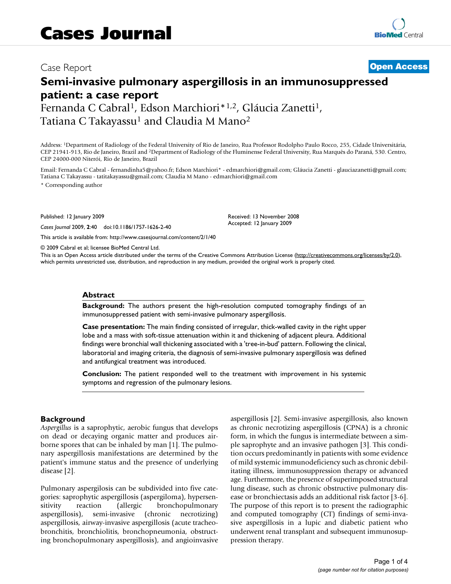# Case Report **[Open Access](http://www.biomedcentral.com/info/about/charter/)**

# **Semi-invasive pulmonary aspergillosis in an immunosuppressed patient: a case report**

Fernanda C Cabral<sup>1</sup>, Edson Marchiori<sup>\*1,2</sup>, Gláucia Zanetti<sup>1</sup>, Tatiana C Takayassu<sup>1</sup> and Claudia M Mano<sup>2</sup>

Address: 1Department of Radiology of the Federal University of Rio de Janeiro, Rua Professor Rodolpho Paulo Rocco, 255, Cidade Universitária, CEP 21941-913, Rio de Janeiro, Brazil and 2Department of Radiology of the Fluminense Federal University, Rua Marquês do Paraná, 530. Centro, CEP 24000-000 Niterói, Rio de Janeiro, Brazil

Email: Fernanda C Cabral - fernandinha5@yahoo.fr; Edson Marchiori\* - edmarchiori@gmail.com; Gláucia Zanetti - glauciazanetti@gmail.com; Tatiana C Takayassu - tatitakayassu@gmail.com; Claudia M Mano - edmarchiori@gmail.com

> Received: 13 November 2008 Accepted: 12 January 2009

\* Corresponding author

Published: 12 January 2009

*Cases Journal* 2009, **2**:40 doi:10.1186/1757-1626-2-40

[This article is available from: http://www.casesjournal.com/content/2/1/40](http://www.casesjournal.com/content/2/1/40)

© 2009 Cabral et al; licensee BioMed Central Ltd.

This is an Open Access article distributed under the terms of the Creative Commons Attribution License [\(http://creativecommons.org/licenses/by/2.0\)](http://creativecommons.org/licenses/by/2.0), which permits unrestricted use, distribution, and reproduction in any medium, provided the original work is properly cited.

#### **Abstract**

**Background:** The authors present the high-resolution computed tomography findings of an immunosuppressed patient with semi-invasive pulmonary aspergillosis.

**Case presentation:** The main finding consisted of irregular, thick-walled cavity in the right upper lobe and a mass with soft-tissue attenuation within it and thickening of adjacent pleura. Additional findings were bronchial wall thickening associated with a 'tree-in-bud' pattern. Following the clinical, laboratorial and imaging criteria, the diagnosis of semi-invasive pulmonary aspergillosis was defined and antifungical treatment was introduced.

**Conclusion:** The patient responded well to the treatment with improvement in his systemic symptoms and regression of the pulmonary lesions.

## **Background**

*Aspergillus* is a saprophytic, aerobic fungus that develops on dead or decaying organic matter and produces airborne spores that can be inhaled by man [[1](#page-3-0)]. The pulmonary aspergillosis manifestations are determined by the patient's immune status and the presence of underlying disease [[2](#page-3-1)].

Pulmonary aspergilosis can be subdivided into five categories: saprophytic aspergillosis (aspergiloma), hypersensitivity reaction (allergic bronchopulmonary aspergillosis), semi-invasive (chronic necrotizing) aspergillosis, airway-invasive aspergillosis (acute tracheobronchitis, bronchiolitis, bronchopneumonia, obstructing bronchopulmonary aspergillosis), and angioinvasive aspergillosis [\[2\]](#page-3-1). Semi-invasive aspergillosis, also known as chronic necrotizing aspergillosis (CPNA) is a chronic form, in which the fungus is intermediate between a simple saprophyte and an invasive pathogen [[3\]](#page-3-2). This condition occurs predominantly in patients with some evidence of mild systemic immunodeficiency such as chronic debilitating illness, immunosuppression therapy or advanced age. Furthermore, the presence of superimposed structural lung disease, such as chronic obstructive pulmonary disease or bronchiectasis adds an additional risk factor [\[3-](#page-3-2)[6](#page-3-3)]. The purpose of this report is to present the radiographic and computed tomography (CT) findings of semi-invasive aspergillosis in a lupic and diabetic patient who underwent renal transplant and subsequent immunosuppression therapy.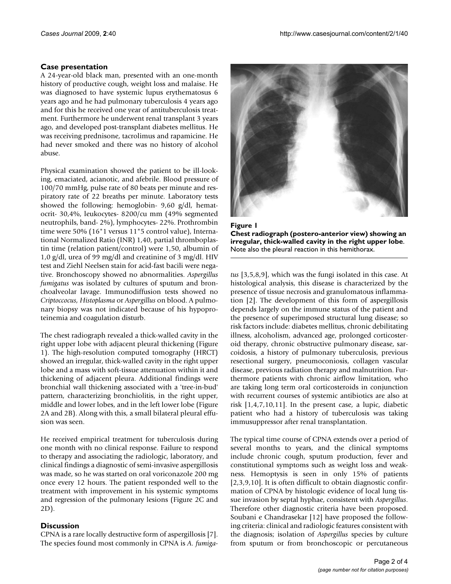### **Case presentation**

A 24-year-old black man, presented with an one-month history of productive cough, weight loss and malaise. He was diagnosed to have systemic lupus erythematosus 6 years ago and he had pulmonary tuberculosis 4 years ago and for this he received one year of antituberculosis treatment. Furthermore he underwent renal transplant 3 years ago, and developed post-transplant diabetes mellitus. He was receiving prednisone, tacrolimus and rapamicine. He had never smoked and there was no history of alcohol abuse.

Physical examination showed the patient to be ill-looking, emaciated, acianotic, and afebrile. Blood pressure of 100/70 mmHg, pulse rate of 80 beats per minute and respiratory rate of 22 breaths per minute. Laboratory tests showed the following: hemoglobin- 9,60 g/dl, hematocrit- 30,4%, leukocytes- 8200/cu mm (49% segmented neutrophils, band- 2%), lymphocytes- 22%. Prothrombin time were 50% (16"1 versus 11"5 control value), International Normalized Ratio (INR) 1,40, partial thromboplastin time (relation patient/control) were 1,50, albumin of 1,0 g/dl, urea of 99 mg/dl and creatinine of 3 mg/dl. HIV test and Ziehl Neelsen stain for acid-fast bacili were negative. Bronchoscopy showed no abnormalities. *Aspergillus fumigatus* was isolated by cultures of sputum and bronchoalveolar lavage. Immunodiffusion tests showed no *Criptoccocus, Histoplasma* or *Aspergillus* on blood. A pulmonary biopsy was not indicated because of his hypoproteinemia and coagulation disturb.

The chest radiograph revealed a thick-walled cavity in the right upper lobe with adjacent pleural thickening (Figure [1\)](#page-1-0). The high-resolution computed tomography (HRCT) showed an irregular, thick-walled cavity in the right upper lobe and a mass with soft-tissue attenuation within it and thickening of adjacent pleura. Additional findings were bronchial wall thickening associated with a 'tree-in-bud' pattern, characterizing bronchiolitis, in the right upper, middle and lower lobes, and in the left lower lobe (Figure [2A](#page-2-0) and [2B](#page-2-0)). Along with this, a small bilateral pleural effusion was seen.

He received empirical treatment for tuberculosis during one month with no clinical response. Failure to respond to therapy and associating the radiologic, laboratory, and clinical findings a diagnostic of semi-invasive aspergillosis was made, so he was started on oral voriconazole 200 mg once every 12 hours. The patient responded well to the treatment with improvement in his systemic symptoms and regression of the pulmonary lesions (Figure [2](#page-2-0)C and [2D](#page-2-0)).

#### **Discussion**

CPNA is a rare locally destructive form of aspergillosis [[7](#page-3-4)]. The species found most commonly in CPNA is *A. fumiga-*

<span id="page-1-0"></span>

Figure 1 **Chest radiograph (postero-anterior view) showing an irregular, thick-walled cavity in the right upper lobe**. Note also the pleural reaction in this hemithorax.

*tus* [[3](#page-3-2),[5](#page-3-5),[8](#page-3-6),[9\]](#page-3-7), which was the fungi isolated in this case. At histological analysis, this disease is characterized by the presence of tissue necrosis and granulomatous inflammation [[2](#page-3-1)]. The development of this form of aspergillosis depends largely on the immune status of the patient and the presence of superimposed structural lung disease; so risk factors include: diabetes mellitus, chronic debilitating illness, alcoholism, advanced age, prolonged corticosteroid therapy, chronic obstructive pulmonary disease, sarcoidosis, a history of pulmonary tuberculosis, previous resectional surgery, pneumoconiosis, collagen vascular disease, previous radiation therapy and malnutrition. Furthermore patients with chronic airflow limitation, who are taking long term oral corticosteroids in conjunction with recurrent courses of systemic antibiotics are also at risk [[1](#page-3-0),[4](#page-3-8),[7](#page-3-4),[10,](#page-3-9)[11\]](#page-3-10). In the present case, a lupic, diabetic patient who had a history of tuberculosis was taking immusuppressor after renal transplantation.

The typical time course of CPNA extends over a period of several months to years, and the clinical symptoms include chronic cough, sputum production, fever and constitutional symptoms such as weight loss and weakness. Hemoptysis is seen in only 15% of patients [[2](#page-3-1)[,3](#page-3-2)[,9](#page-3-7)[,10](#page-3-9)]. It is often difficult to obtain diagnostic confirmation of CPNA by histologic evidence of local lung tissue invasion by septal hyphae, consistent with *Aspergillus*. Therefore other diagnostic criteria have been proposed. Soubani e Chandrasekar [[12\]](#page-3-11) have proposed the following criteria: clinical and radiologic features consistent with the diagnosis; isolation of *Aspergillus* species by culture from sputum or from bronchoscopic or percutaneous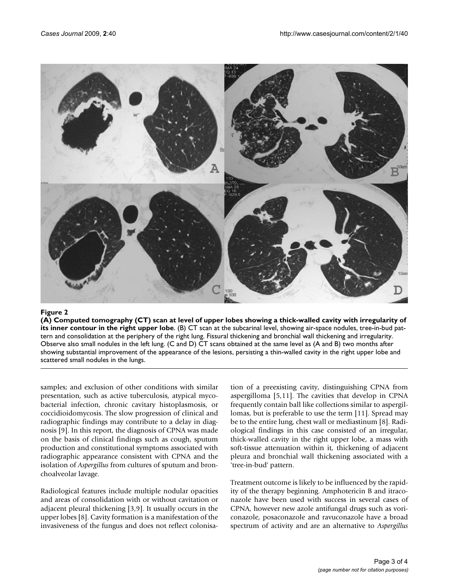<span id="page-2-0"></span>

### $\bf{F}$ igure 2 l of upper lobe in the right upper lobes showing a thick-walled cavity with irregularity of its inner contour cavity with irregularity of its inner contour contour contour contour contour contour contour con

**(A) Computed tomography (CT) scan at level of upper lobes showing a thick-walled cavity with irregularity of its inner contour in the right upper lobe**. (B) CT scan at the subcarinal level, showing air-space nodules, tree-in-bud pattern and consolidation at the periphery of the right lung. Fissural thickening and bronchial wall thickening and irregularity. Observe also small nodules in the left lung. (C and D) CT scans obtained at the same level as (A and B) two months after showing substantial improvement of the appearance of the lesions, persisting a thin-walled cavity in the right upper lobe and scattered small nodules in the lungs.

samples; and exclusion of other conditions with similar presentation, such as active tuberculosis, atypical mycobacterial infection, chronic cavitary histoplasmosis, or coccidioidomycosis. The slow progression of clinical and radiographic findings may contribute to a delay in diagnosis [[9](#page-3-7)]. In this report, the diagnosis of CPNA was made on the basis of clinical findings such as cough, sputum production and constitutional symptoms associated with radiographic appearance consistent with CPNA and the isolation of *Aspergillus* from cultures of sputum and bronchoalveolar lavage.

Radiological features include multiple nodular opacities and areas of consolidation with or without cavitation or adjacent pleural thickening [[3](#page-3-2),[9](#page-3-7)]. It usually occurs in the upper lobes [[8](#page-3-6)]. Cavity formation is a manifestation of the invasiveness of the fungus and does not reflect colonisation of a preexisting cavity, distinguishing CPNA from aspergilloma [[5](#page-3-5),[11](#page-3-10)]. The cavities that develop in CPNA frequently contain ball like collections similar to aspergillomas, but is preferable to use the term [\[11\]](#page-3-10). Spread may be to the entire lung, chest wall or mediastinum [\[8\]](#page-3-6). Radiological findings in this case consisted of an irregular, thick-walled cavity in the right upper lobe, a mass with soft-tissue attenuation within it, thickening of adjacent pleura and bronchial wall thickening associated with a 'tree-in-bud' pattern.

Treatment outcome is likely to be influenced by the rapidity of the therapy beginning. Amphotericin B and itraconazole have been used with success in several cases of CPNA, however new azole antifungal drugs such as voriconazole, posaconazole and ravuconazole have a broad spectrum of activity and are an alternative to *Aspergillus*